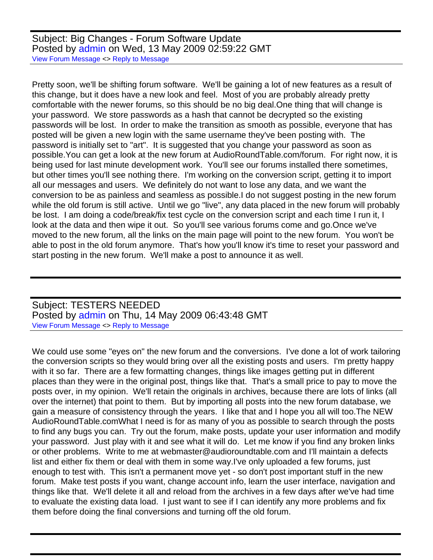Subject: Big Changes - Forum Software Update Posted by [admin](https://audioroundtable.com/forum/index.php?t=usrinfo&id=2) on Wed, 13 May 2009 02:59:22 GMT [View Forum Message](https://audioroundtable.com/forum/index.php?t=rview&th=850&goto=5082#msg_5082) <> [Reply to Message](https://audioroundtable.com/forum/index.php?t=post&reply_to=5082)

Pretty soon, we'll be shifting forum software. We'll be gaining a lot of new features as a result of this change, but it does have a new look and feel. Most of you are probably already pretty comfortable with the newer forums, so this should be no big deal.One thing that will change is your password. We store passwords as a hash that cannot be decrypted so the existing passwords will be lost. In order to make the transition as smooth as possible, everyone that has posted will be given a new login with the same username they've been posting with. The password is initially set to "art". It is suggested that you change your password as soon as possible.You can get a look at the new forum at AudioRoundTable.com/forum. For right now, it is being used for last minute development work. You'll see our forums installed there sometimes, but other times you'll see nothing there. I'm working on the conversion script, getting it to import all our messages and users. We definitely do not want to lose any data, and we want the conversion to be as painless and seamless as possible.I do not suggest posting in the new forum while the old forum is still active. Until we go "live", any data placed in the new forum will probably be lost. I am doing a code/break/fix test cycle on the conversion script and each time I run it, I look at the data and then wipe it out. So you'll see various forums come and go.Once we've moved to the new forum, all the links on the main page will point to the new forum. You won't be able to post in the old forum anymore. That's how you'll know it's time to reset your password and start posting in the new forum. We'll make a post to announce it as well.

Subject: TESTERS NEEDED Posted by [admin](https://audioroundtable.com/forum/index.php?t=usrinfo&id=2) on Thu, 14 May 2009 06:43:48 GMT [View Forum Message](https://audioroundtable.com/forum/index.php?t=rview&th=850&goto=5083#msg_5083) <> [Reply to Message](https://audioroundtable.com/forum/index.php?t=post&reply_to=5083)

We could use some "eyes on" the new forum and the conversions. I've done a lot of work tailoring the conversion scripts so they would bring over all the existing posts and users. I'm pretty happy with it so far. There are a few formatting changes, things like images getting put in different places than they were in the original post, things like that. That's a small price to pay to move the posts over, in my opinion. We'll retain the originals in archives, because there are lots of links (all over the internet) that point to them. But by importing all posts into the new forum database, we gain a measure of consistency through the years. I like that and I hope you all will too.The NEW AudioRoundTable.comWhat I need is for as many of you as possible to search through the posts to find any bugs you can. Try out the forum, make posts, update your user information and modify your password. Just play with it and see what it will do. Let me know if you find any broken links or other problems. Write to me at webmaster@audioroundtable.com and I'll maintain a defects list and either fix them or deal with them in some way.I've only uploaded a few forums, just enough to test with. This isn't a permanent move yet - so don't post important stuff in the new forum. Make test posts if you want, change account info, learn the user interface, navigation and things like that. We'll delete it all and reload from the archives in a few days after we've had time to evaluate the existing data load. I just want to see if I can identify any more problems and fix them before doing the final conversions and turning off the old forum.